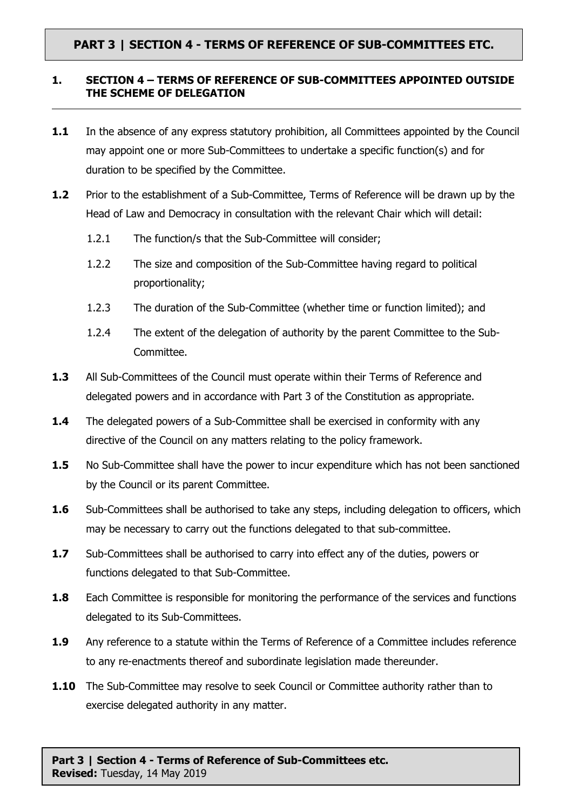## **PART 3 | SECTION 4 - TERMS OF REFERENCE OF SUB-COMMITTEES ETC.**

## **1. SECTION 4 – TERMS OF REFERENCE OF SUB-COMMITTEES APPOINTED OUTSIDE THE SCHEME OF DELEGATION**

- **1.1** In the absence of any express statutory prohibition, all Committees appointed by the Council may appoint one or more Sub-Committees to undertake a specific function(s) and for duration to be specified by the Committee.
- **1.2** Prior to the establishment of a Sub-Committee, Terms of Reference will be drawn up by the Head of Law and Democracy in consultation with the relevant Chair which will detail:
	- 1.2.1 The function/s that the Sub-Committee will consider;
	- 1.2.2 The size and composition of the Sub-Committee having regard to political proportionality;
	- 1.2.3 The duration of the Sub-Committee (whether time or function limited); and
	- 1.2.4 The extent of the delegation of authority by the parent Committee to the Sub-Committee.
- **1.3** All Sub-Committees of the Council must operate within their Terms of Reference and delegated powers and in accordance with Part 3 of the Constitution as appropriate.
- **1.4** The delegated powers of a Sub-Committee shall be exercised in conformity with any directive of the Council on any matters relating to the policy framework.
- **1.5** No Sub-Committee shall have the power to incur expenditure which has not been sanctioned by the Council or its parent Committee.
- **1.6** Sub-Committees shall be authorised to take any steps, including delegation to officers, which may be necessary to carry out the functions delegated to that sub-committee.
- **1.7** Sub-Committees shall be authorised to carry into effect any of the duties, powers or functions delegated to that Sub-Committee.
- **1.8** Each Committee is responsible for monitoring the performance of the services and functions delegated to its Sub-Committees.
- **1.9** Any reference to a statute within the Terms of Reference of a Committee includes reference to any re-enactments thereof and subordinate legislation made thereunder.
- **1.10** The Sub-Committee may resolve to seek Council or Committee authority rather than to exercise delegated authority in any matter.